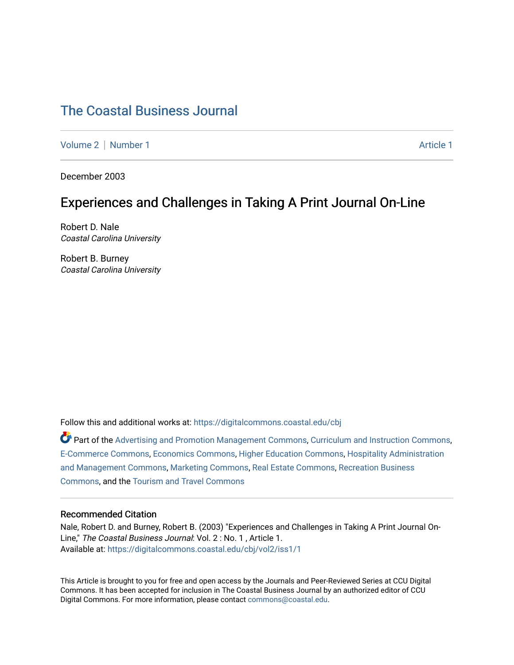# [The Coastal Business Journal](https://digitalcommons.coastal.edu/cbj)

[Volume 2](https://digitalcommons.coastal.edu/cbj/vol2) | [Number 1](https://digitalcommons.coastal.edu/cbj/vol2/iss1) Article 1

December 2003

# Experiences and Challenges in Taking A Print Journal On-Line

Robert D. Nale Coastal Carolina University

Robert B. Burney Coastal Carolina University

Follow this and additional works at: [https://digitalcommons.coastal.edu/cbj](https://digitalcommons.coastal.edu/cbj?utm_source=digitalcommons.coastal.edu%2Fcbj%2Fvol2%2Fiss1%2F1&utm_medium=PDF&utm_campaign=PDFCoverPages) 

Part of the [Advertising and Promotion Management Commons,](http://network.bepress.com/hgg/discipline/626?utm_source=digitalcommons.coastal.edu%2Fcbj%2Fvol2%2Fiss1%2F1&utm_medium=PDF&utm_campaign=PDFCoverPages) [Curriculum and Instruction Commons,](http://network.bepress.com/hgg/discipline/786?utm_source=digitalcommons.coastal.edu%2Fcbj%2Fvol2%2Fiss1%2F1&utm_medium=PDF&utm_campaign=PDFCoverPages) [E-Commerce Commons,](http://network.bepress.com/hgg/discipline/624?utm_source=digitalcommons.coastal.edu%2Fcbj%2Fvol2%2Fiss1%2F1&utm_medium=PDF&utm_campaign=PDFCoverPages) [Economics Commons](http://network.bepress.com/hgg/discipline/340?utm_source=digitalcommons.coastal.edu%2Fcbj%2Fvol2%2Fiss1%2F1&utm_medium=PDF&utm_campaign=PDFCoverPages), [Higher Education Commons](http://network.bepress.com/hgg/discipline/1245?utm_source=digitalcommons.coastal.edu%2Fcbj%2Fvol2%2Fiss1%2F1&utm_medium=PDF&utm_campaign=PDFCoverPages), [Hospitality Administration](http://network.bepress.com/hgg/discipline/632?utm_source=digitalcommons.coastal.edu%2Fcbj%2Fvol2%2Fiss1%2F1&utm_medium=PDF&utm_campaign=PDFCoverPages) [and Management Commons,](http://network.bepress.com/hgg/discipline/632?utm_source=digitalcommons.coastal.edu%2Fcbj%2Fvol2%2Fiss1%2F1&utm_medium=PDF&utm_campaign=PDFCoverPages) [Marketing Commons](http://network.bepress.com/hgg/discipline/638?utm_source=digitalcommons.coastal.edu%2Fcbj%2Fvol2%2Fiss1%2F1&utm_medium=PDF&utm_campaign=PDFCoverPages), [Real Estate Commons](http://network.bepress.com/hgg/discipline/641?utm_source=digitalcommons.coastal.edu%2Fcbj%2Fvol2%2Fiss1%2F1&utm_medium=PDF&utm_campaign=PDFCoverPages), [Recreation Business](http://network.bepress.com/hgg/discipline/1083?utm_source=digitalcommons.coastal.edu%2Fcbj%2Fvol2%2Fiss1%2F1&utm_medium=PDF&utm_campaign=PDFCoverPages) [Commons](http://network.bepress.com/hgg/discipline/1083?utm_source=digitalcommons.coastal.edu%2Fcbj%2Fvol2%2Fiss1%2F1&utm_medium=PDF&utm_campaign=PDFCoverPages), and the [Tourism and Travel Commons](http://network.bepress.com/hgg/discipline/1082?utm_source=digitalcommons.coastal.edu%2Fcbj%2Fvol2%2Fiss1%2F1&utm_medium=PDF&utm_campaign=PDFCoverPages)

#### Recommended Citation

Nale, Robert D. and Burney, Robert B. (2003) "Experiences and Challenges in Taking A Print Journal On-Line," The Coastal Business Journal: Vol. 2 : No. 1 , Article 1. Available at: [https://digitalcommons.coastal.edu/cbj/vol2/iss1/1](https://digitalcommons.coastal.edu/cbj/vol2/iss1/1?utm_source=digitalcommons.coastal.edu%2Fcbj%2Fvol2%2Fiss1%2F1&utm_medium=PDF&utm_campaign=PDFCoverPages)

This Article is brought to you for free and open access by the Journals and Peer-Reviewed Series at CCU Digital Commons. It has been accepted for inclusion in The Coastal Business Journal by an authorized editor of CCU Digital Commons. For more information, please contact [commons@coastal.edu](mailto:commons@coastal.edu).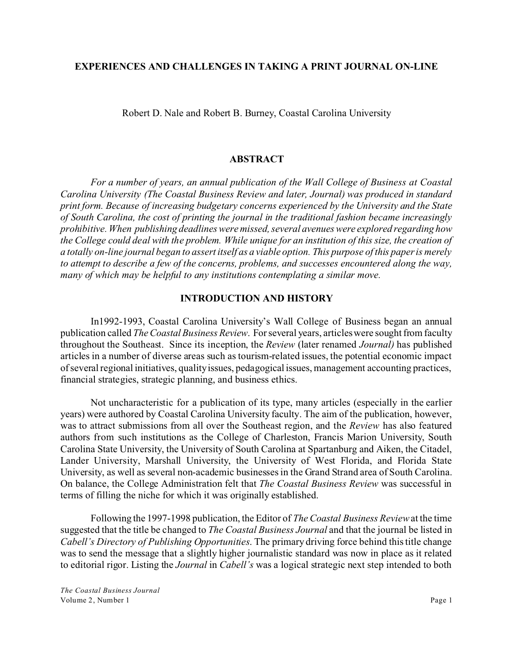# **EXPERIENCES AND CHALLENGES IN TAKING A PRINT JOURNAL ON-LINE**

Robert D. Nale and Robert B. Burney, Coastal Carolina University

# **ABSTRACT**

*For a number of years, an annual publication of the Wall College of Business at Coastal Carolina University (The Coastal Business Review and later, Journal) was produced in standard print form. Because of increasing budgetary concerns experienced by the University and the State of South Carolina, the cost of printing the journal in the traditional fashion became increasingly prohibitive. When publishing deadlines were missed, several avenues were explored regarding how the College could deal with the problem. While unique for an institution of this size, the creation of a totally on-line journal began to assert itself as a viable option. This purpose of this paper is merely to attempt to describe a few of the concerns, problems, and successes encountered along the way, many of which may be helpful to any institutions contemplating a similar move.*

# **INTRODUCTION AND HISTORY**

In1992-1993, Coastal Carolina University's Wall College of Business began an annual publication called *TheCoastal Business Review*. For several years, articles were sought from faculty throughout the Southeast. Since its inception, the *Review* (later renamed *Journal)* has published articles in a number of diverse areas such as tourism-related issues, the potential economic impact of several regional initiatives, quality issues, pedagogical issues, management accounting practices, financial strategies, strategic planning, and business ethics.

Not uncharacteristic for a publication of its type, many articles (especially in the earlier years) were authored by Coastal Carolina University faculty. The aim of the publication, however, was to attract submissions from all over the Southeast region, and the *Review* has also featured authors from such institutions as the College of Charleston, Francis Marion University, South Carolina State University, the University of South Carolina at Spartanburg and Aiken, the Citadel, Lander University, Marshall University, the University of West Florida, and Florida State University, as well as several non-academic businesses in the Grand Strand area of South Carolina. On balance, the College Administration felt that *The Coastal Business Review* was successful in terms of filling the niche for which it was originally established.

Following the 1997-1998 publication, the Editor of *The Coastal Business Review* at the time suggested that the title be changed to *The Coastal Business Journal* and that the journal be listed in *Cabell's Directory of Publishing Opportunities*. The primary driving force behind this title change was to send the message that a slightly higher journalistic standard was now in place as it related to editorial rigor. Listing the *Journal* in *Cabell's* was a logical strategic next step intended to both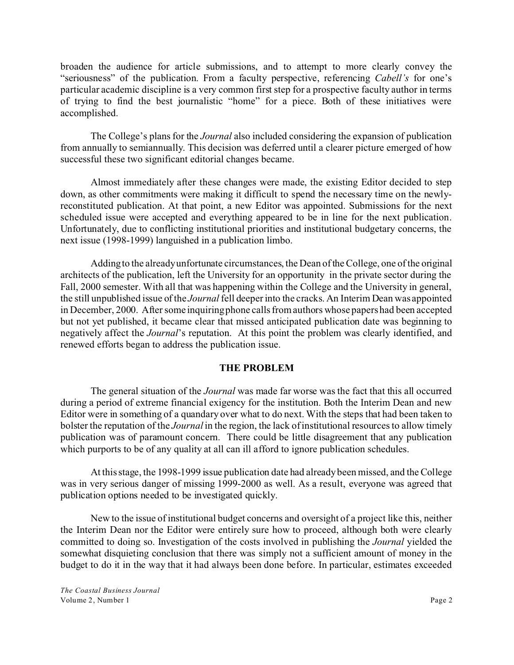broaden the audience for article submissions, and to attempt to more clearly convey the "seriousness" of the publication. From a faculty perspective, referencing *Cabell's* for one's particular academic discipline is a very common first step for a prospective faculty author in terms of trying to find the best journalistic "home" for a piece. Both of these initiatives were accomplished.

The College's plans for the *Journal* also included considering the expansion of publication from annually to semiannually. This decision was deferred until a clearer picture emerged of how successful these two significant editorial changes became.

Almost immediately after these changes were made, the existing Editor decided to step down, as other commitments were making it difficult to spend the necessary time on the newlyreconstituted publication. At that point, a new Editor was appointed. Submissions for the next scheduled issue were accepted and everything appeared to be in line for the next publication. Unfortunately, due to conflicting institutional priorities and institutional budgetary concerns, the next issue (1998-1999) languished in a publication limbo.

Adding to the already unfortunate circumstances, the Dean of the College, one of the original architects of the publication, left the University for an opportunity in the private sector during the Fall, 2000 semester. With all that was happening within the College and the University in general, the still unpublished issue of the *Journal* fell deeper into the cracks. An Interim Dean was appointed in December, 2000. After some inquiring phone calls from authors whose papers had been accepted but not yet published, it became clear that missed anticipated publication date was beginning to negatively affect the *Journal*'s reputation. At this point the problem was clearly identified, and renewed efforts began to address the publication issue.

### **THE PROBLEM**

The general situation of the *Journal* was made far worse was the fact that this all occurred during a period of extreme financial exigency for the institution. Both the Interim Dean and new Editor were in something of a quandary over what to do next. With the steps that had been taken to bolster the reputation of the *Journal* in the region, the lack of institutional resources to allow timely publication was of paramount concern. There could be little disagreement that any publication which purports to be of any quality at all can ill afford to ignore publication schedules.

At this stage, the 1998-1999 issue publication date had already been missed, and the College was in very serious danger of missing 1999-2000 as well. As a result, everyone was agreed that publication options needed to be investigated quickly.

New to the issue of institutional budget concerns and oversight of a project like this, neither the Interim Dean nor the Editor were entirely sure how to proceed, although both were clearly committed to doing so. Investigation of the costs involved in publishing the *Journal* yielded the somewhat disquieting conclusion that there was simply not a sufficient amount of money in the budget to do it in the way that it had always been done before. In particular, estimates exceeded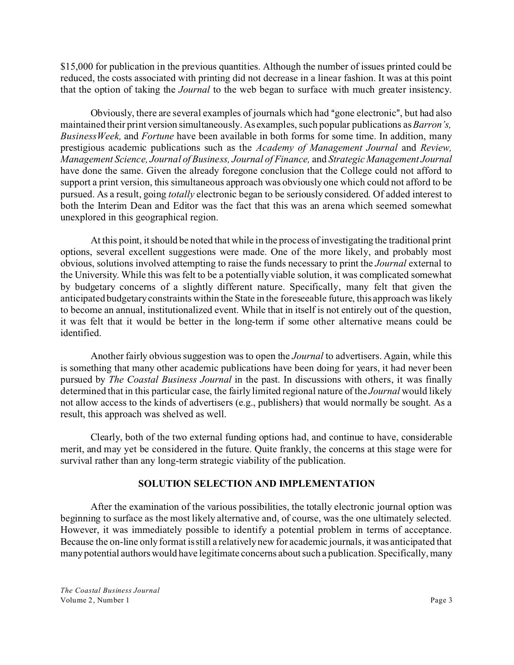\$15,000 for publication in the previous quantities. Although the number of issues printed could be reduced, the costs associated with printing did not decrease in a linear fashion. It was at this point that the option of taking the *Journal* to the web began to surface with much greater insistency.

Obviously, there are several examples of journals which had "gone electronic", but had also maintained their print version simultaneously. As examples, such popular publications as*Barron's, BusinessWeek,* and *Fortune* have been available in both forms for some time. In addition, many prestigious academic publications such as the *Academy of Management Journal* and *Review, Management Science, Journal of Business, Journal of Finance,* and *Strategic Management Journal* have done the same. Given the already foregone conclusion that the College could not afford to support a print version, this simultaneous approach was obviously one which could not afford to be pursued. As a result, going *totally* electronic began to be seriously considered. Of added interest to both the Interim Dean and Editor was the fact that this was an arena which seemed somewhat unexplored in this geographical region.

At this point, it should be noted that while in the process of investigating the traditional print options, several excellent suggestions were made. One of the more likely, and probably most obvious, solutions involved attempting to raise the funds necessary to print the *Journal* external to the University. While this was felt to be a potentially viable solution, it was complicated somewhat by budgetary concerns of a slightly different nature. Specifically, many felt that given the anticipated budgetary constraints within the State in the foreseeable future, this approach was likely to become an annual, institutionalized event. While that in itself is not entirely out of the question, it was felt that it would be better in the long-term if some other alternative means could be identified.

Another fairly obvious suggestion was to open the *Journal* to advertisers. Again, while this is something that many other academic publications have been doing for years, it had never been pursued by *The Coastal Business Journal* in the past. In discussions with others, it was finally determined that in this particular case, the fairly limited regional nature of the *Journal* would likely not allow access to the kinds of advertisers (e.g., publishers) that would normally be sought. As a result, this approach was shelved as well.

Clearly, both of the two external funding options had, and continue to have, considerable merit, and may yet be considered in the future. Quite frankly, the concerns at this stage were for survival rather than any long-term strategic viability of the publication.

# **SOLUTION SELECTION AND IMPLEMENTATION**

After the examination of the various possibilities, the totally electronic journal option was beginning to surface as the most likely alternative and, of course, was the one ultimately selected. However, it was immediately possible to identify a potential problem in terms of acceptance. Because the on-line only format is still a relatively new for academic journals, it was anticipated that many potential authors would have legitimate concerns about such a publication. Specifically, many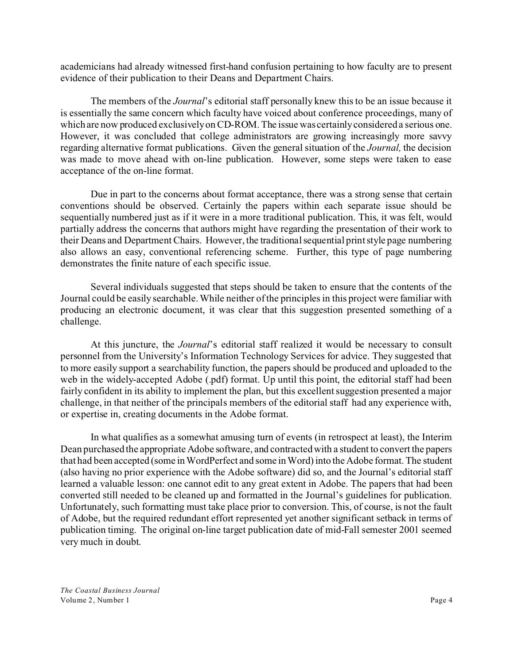academicians had already witnessed first-hand confusion pertaining to how faculty are to present evidence of their publication to their Deans and Department Chairs.

The members of the *Journal*'s editorial staff personally knew this to be an issue because it is essentially the same concern which faculty have voiced about conference proceedings, many of which are now produced exclusively on CD-ROM. The issue was certainly considered a serious one. However, it was concluded that college administrators are growing increasingly more savvy regarding alternative format publications. Given the general situation of the *Journal,* the decision was made to move ahead with on-line publication. However, some steps were taken to ease acceptance of the on-line format.

Due in part to the concerns about format acceptance, there was a strong sense that certain conventions should be observed. Certainly the papers within each separate issue should be sequentially numbered just as if it were in a more traditional publication. This, it was felt, would partially address the concerns that authors might have regarding the presentation of their work to their Deans and Department Chairs. However, the traditional sequential print style page numbering also allows an easy, conventional referencing scheme. Further, this type of page numbering demonstrates the finite nature of each specific issue.

Several individuals suggested that steps should be taken to ensure that the contents of the Journal could be easily searchable. While neither of the principles in this project were familiar with producing an electronic document, it was clear that this suggestion presented something of a challenge.

At this juncture, the *Journal*'s editorial staff realized it would be necessary to consult personnel from the University's Information Technology Services for advice. They suggested that to more easily support a searchability function, the papers should be produced and uploaded to the web in the widely-accepted Adobe (.pdf) format. Up until this point, the editorial staff had been fairly confident in its ability to implement the plan, but this excellent suggestion presented a major challenge, in that neither of the principals members of the editorial staff had any experience with, or expertise in, creating documents in the Adobe format.

In what qualifies as a somewhat amusing turn of events (in retrospect at least), the Interim Dean purchased the appropriate Adobe software, and contracted with a student to convert the papers that had been accepted (some in WordPerfect and some in Word) into the Adobe format. The student (also having no prior experience with the Adobe software) did so, and the Journal's editorial staff learned a valuable lesson: one cannot edit to any great extent in Adobe. The papers that had been converted still needed to be cleaned up and formatted in the Journal's guidelines for publication. Unfortunately, such formatting must take place prior to conversion. This, of course, is not the fault of Adobe, but the required redundant effort represented yet another significant setback in terms of publication timing. The original on-line target publication date of mid-Fall semester 2001 seemed very much in doubt.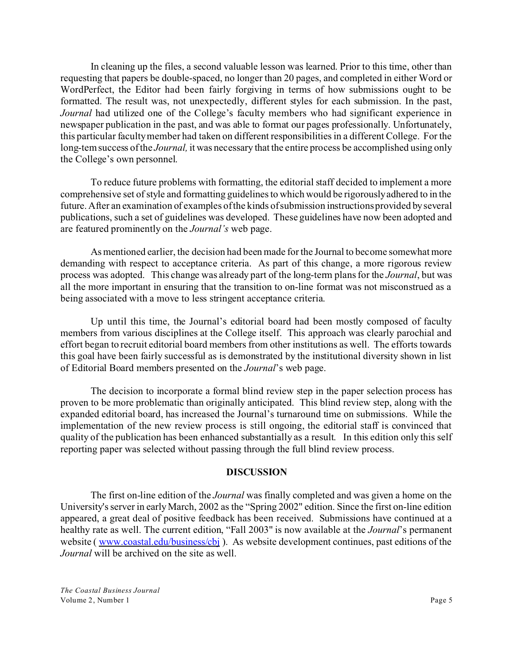In cleaning up the files, a second valuable lesson was learned. Prior to this time, other than requesting that papers be double-spaced, no longer than 20 pages, and completed in either Word or WordPerfect, the Editor had been fairly forgiving in terms of how submissions ought to be formatted. The result was, not unexpectedly, different styles for each submission. In the past, *Journal* had utilized one of the College's faculty members who had significant experience in newspaper publication in the past, and was able to format our pages professionally. Unfortunately, this particular faculty member had taken on different responsibilities in a different College. For the long-tem success of the *Journal,* it was necessary that the entire process be accomplished using only the College's own personnel.

To reduce future problems with formatting, the editorial staff decided to implement a more comprehensive set of style and formatting guidelines to which would be rigorously adhered to in the future. After an examination of examples of the kinds of submission instructions provided by several publications, such a set of guidelines was developed. These guidelines have now been adopted and are featured prominently on the *Journal's* web page.

As mentioned earlier, the decision had been made for the Journal to become somewhat more demanding with respect to acceptance criteria. As part of this change, a more rigorous review process was adopted. This change was already part of the long-term plans for the *Journal*, but was all the more important in ensuring that the transition to on-line format was not misconstrued as a being associated with a move to less stringent acceptance criteria.

Up until this time, the Journal's editorial board had been mostly composed of faculty members from various disciplines at the College itself. This approach was clearly parochial and effort began to recruit editorial board members from other institutions as well. The efforts towards this goal have been fairly successful as is demonstrated by the institutional diversity shown in list of Editorial Board members presented on the *Journal*'s web page.

The decision to incorporate a formal blind review step in the paper selection process has proven to be more problematic than originally anticipated. This blind review step, along with the expanded editorial board, has increased the Journal's turnaround time on submissions. While the implementation of the new review process is still ongoing, the editorial staff is convinced that quality of the publication has been enhanced substantially as a result. In this edition only this self reporting paper was selected without passing through the full blind review process.

#### **DISCUSSION**

The first on-line edition of the *Journal* was finally completed and was given a home on the University's server in early March, 2002 as the "Spring 2002" edition. Since the first on-line edition appeared, a great deal of positive feedback has been received. Submissions have continued at a healthy rate as well. The current edition, "Fall 2003" is now available at the *Journal*'s permanent website ( [www.coastal.edu/business/cbj](http://www.coastal.edu/business/cbj)). As website development continues, past editions of the *Journal* will be archived on the site as well.

*The Coastal Business Journal* Volume 2, Number 1 Page 5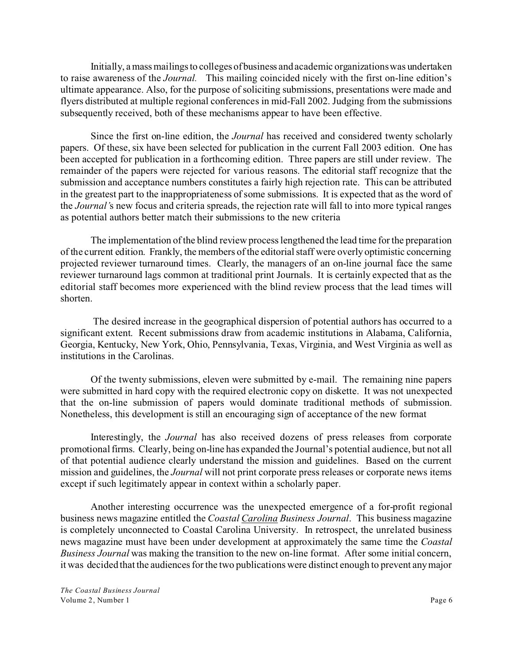Initially, a mass mailings to colleges of business and academic organizations was undertaken to raise awareness of the *Journal.* This mailing coincided nicely with the first on-line edition's ultimate appearance. Also, for the purpose of soliciting submissions, presentations were made and flyers distributed at multiple regional conferences in mid-Fall 2002. Judging from the submissions subsequently received, both of these mechanisms appear to have been effective.

Since the first on-line edition, the *Journal* has received and considered twenty scholarly papers. Of these, six have been selected for publication in the current Fall 2003 edition. One has been accepted for publication in a forthcoming edition. Three papers are still under review. The remainder of the papers were rejected for various reasons. The editorial staff recognize that the submission and acceptance numbers constitutes a fairly high rejection rate. This can be attributed in the greatest part to the inappropriateness of some submissions. It is expected that as the word of the *Journal'*s new focus and criteria spreads, the rejection rate will fall to into more typical ranges as potential authors better match their submissions to the new criteria

The implementation of the blind review process lengthened the lead time for the preparation of the current edition. Frankly, the members of the editorial staff were overly optimistic concerning projected reviewer turnaround times. Clearly, the managers of an on-line journal face the same reviewer turnaround lags common at traditional print Journals. It is certainly expected that as the editorial staff becomes more experienced with the blind review process that the lead times will shorten.

 The desired increase in the geographical dispersion of potential authors has occurred to a significant extent. Recent submissions draw from academic institutions in Alabama, California, Georgia, Kentucky, New York, Ohio, Pennsylvania, Texas, Virginia, and West Virginia as well as institutions in the Carolinas.

Of the twenty submissions, eleven were submitted by e-mail. The remaining nine papers were submitted in hard copy with the required electronic copy on diskette. It was not unexpected that the on-line submission of papers would dominate traditional methods of submission. Nonetheless, this development is still an encouraging sign of acceptance of the new format

Interestingly, the *Journal* has also received dozens of press releases from corporate promotional firms. Clearly, being on-line has expanded the Journal's potential audience, but not all of that potential audience clearly understand the mission and guidelines. Based on the current mission and guidelines, the *Journal* will not print corporate press releases or corporate news items except if such legitimately appear in context within a scholarly paper.

Another interesting occurrence was the unexpected emergence of a for-profit regional business news magazine entitled the *Coastal Carolina Business Journal*. This business magazine is completely unconnected to Coastal Carolina University. In retrospect, the unrelated business news magazine must have been under development at approximately the same time the *Coastal Business Journal* was making the transition to the new on-line format. After some initial concern, it was decided that the audiences for the two publications were distinct enough to prevent any major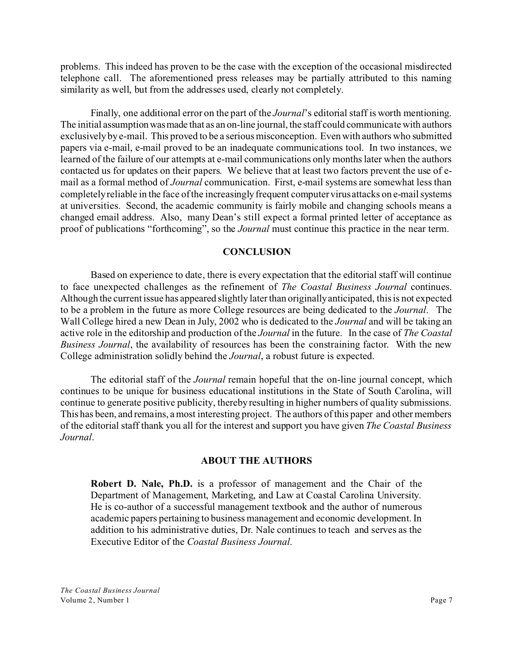problems. This indeed has proven to be the case with the exception of the occasional misdirected telephone call. The aforementioned press releases may be partially attributed to this naming similarity as well, but from the addresses used, clearly not completely.

Finally, one additional error on the part of the *Journal*'s editorial staff is worth mentioning. The initial assumption was made that as an on-line journal, the staff could communicate with authors exclusively by e-mail. This proved to be a serious misconception. Even with authors who submitted papers via e-mail, e-mail proved to be an inadequate communications tool. In two instances, we learned of the failure of our attempts at e-mail communications only months later when the authors contacted us for updates on their papers. We believe that at least two factors prevent the use of email as a formal method of *Journal* communication. First, e-mail systems are somewhat less than completely reliable in the face of the increasingly frequent computer virus attacks on e-mail systems at universities. Second, the academic community is fairly mobile and changing schools means a changed email address. Also, many Dean's still expect a formal printed letter of acceptance as proof of publications "forthcoming", so the *Journal* must continue this practice in the near term.

#### **CONCLUSION**

Based on experience to date, there is every expectation that the editorial staff will continue to face unexpected challenges as the refinement of *The Coastal Business Journal* continues. Although the current issue has appeared slightly later than originally anticipated, this is not expected to be a problem in the future as more College resources are being dedicated to the *Journal*. The Wall College hired a new Dean in July, 2002 who is dedicated to the *Journal* and will be taking an active role in the editorship and production of the *Journal* in the future. In the case of *The Coastal Business Journal*, the availability of resources has been the constraining factor. With the new College administration solidly behind the *Journal*, a robust future is expected.

The editorial staff of the *Journal* remain hopeful that the on-line journal concept, which continues to be unique for business educational institutions in the State of South Carolina, will continue to generate positive publicity, thereby resulting in higher numbers of quality submissions. This has been, and remains, a most interesting project. The authors of this paper and other members of the editorial staff thank you all for the interest and support you have given *The Coastal Business Journal*.

#### **ABOUT THE AUTHORS**

**Robert D. Nale, Ph.D.** is a professor of management and the Chair of the Department of Management, Marketing, and Law at Coastal Carolina University. He is co-author of a successful management textbook and the author of numerous academic papers pertaining to business management and economic development. In addition to his administrative duties, Dr. Nale continues to teach and serves as the Executive Editor of the *Coastal Business Journal*.